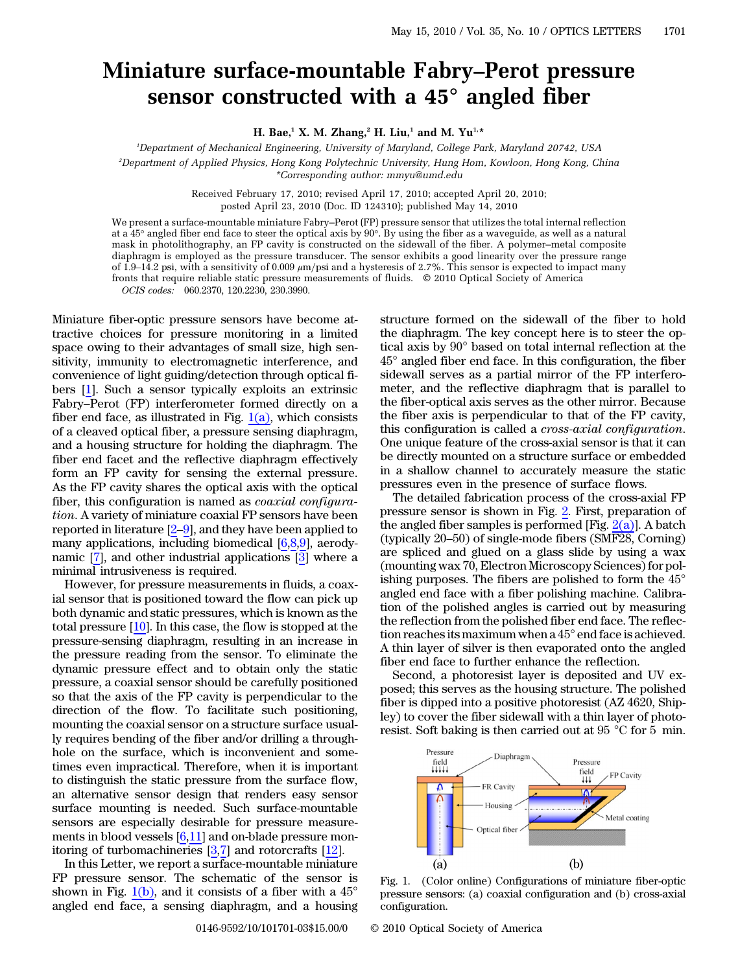## Miniature surface-mountable Fabry*–*Perot pressure sensor constructed with a 45*°* angled fiber

H. Bae,<sup>1</sup> X. M. Zhang,<sup>2</sup> H. Liu,<sup>1</sup> and M. Yu<sup>1,\*</sup>

1 Department of Mechanical Engineering, University of Maryland, College Park, Maryland 20742, USA 2 Department of Applied Physics, Hong Kong Polytechnic University, Hung Hom, Kowloon, Hong Kong, China \*Corresponding author: mmyu@umd.edu

> Received February 17, 2010; revised April 17, 2010; accepted April 20, 2010; posted April 23, 2010 (Doc. ID 124310); published May 14, 2010

We present a surface-mountable miniature Fabry–Perot (FP) pressure sensor that utilizes the total internal reflection at a 45° angled fiber end face to steer the optical axis by 90°. By using the fiber as a waveguide, as well as a natural mask in photolithography, an FP cavity is constructed on the sidewall of the fiber. A polymer–metal composite diaphragm is employed as the pressure transducer. The sensor exhibits a good linearity over the pressure range of  $1.9-14.2$  psi, with a sensitivity of 0.009  $\mu$ m/psi and a hysteresis of 2.7%. This sensor is expected to impact many fronts that require reliable static pressure measurements of fluids. © 2010 Optical Society of America OCIS codes: 060.2370, 120.2230, 230.3990.

Miniature fiber-optic pressure sensors have become attractive choices for pressure monitoring in a limited space owing to their advantages of small size, high sensitivity, immunity to electromagnetic interference, and convenience of light guiding/detection through optical fibers [[1\]](#page-2-0). Such a sensor typically exploits an extrinsic Fabry–Perot (FP) interferometer formed directly on a fiber end face, as illustrated in Fig.  $1(a)$ , which consists of a cleaved optical fiber, a pressure sensing diaphragm, and a housing structure for holding the diaphragm. The fiber end facet and the reflective diaphragm effectively form an FP cavity for sensing the external pressure. As the FP cavity shares the optical axis with the optical fiber, this configuration is named as *coaxial configura*tion. A variety of miniature coaxial FP sensors have been reported in literature  $[2-9]$  $[2-9]$  $[2-9]$ , and they have been applied to many applications, including biomedical [\[6](#page-2-3),[8,](#page-2-4)[9](#page-2-2)], aerodynamic [\[7](#page-2-5)], and other industrial applications [\[3\]](#page-2-6) where a minimal intrusiveness is required.

However, for pressure measurements in fluids, a coaxial sensor that is positioned toward the flow can pick up both dynamic and static pressures, which is known as the total pressure [\[10](#page-2-7)]. In this case, the flow is stopped at the pressure-sensing diaphragm, resulting in an increase in the pressure reading from the sensor. To eliminate the dynamic pressure effect and to obtain only the static pressure, a coaxial sensor should be carefully positioned so that the axis of the FP cavity is perpendicular to the direction of the flow. To facilitate such positioning, mounting the coaxial sensor on a structure surface usually requires bending of the fiber and/or drilling a throughhole on the surface, which is inconvenient and sometimes even impractical. Therefore, when it is important to distinguish the static pressure from the surface flow, an alternative sensor design that renders easy sensor surface mounting is needed. Such surface-mountable sensors are especially desirable for pressure measurements in blood vessels [[6](#page-2-3)[,11](#page-2-8)] and on-blade pressure monitoring of turbomachineries [[3,](#page-2-6)[7](#page-2-5)] and rotorcrafts [[12](#page-2-9)].

In this Letter, we report a surface-mountable miniature FP pressure sensor. The schematic of the sensor is shown in Fig.  $1(b)$ , and it consists of a fiber with a  $45^{\circ}$ angled end face, a sensing diaphragm, and a housing

structure formed on the sidewall of the fiber to hold the diaphragm. The key concept here is to steer the optical axis by 90° based on total internal reflection at the 45° angled fiber end face. In this configuration, the fiber sidewall serves as a partial mirror of the FP interferometer, and the reflective diaphragm that is parallel to the fiber-optical axis serves as the other mirror. Because the fiber axis is perpendicular to that of the FP cavity, this configuration is called a cross-axial configuration. One unique feature of the cross-axial sensor is that it can be directly mounted on a structure surface or embedded in a shallow channel to accurately measure the static pressures even in the presence of surface flows.

The detailed fabrication process of the cross-axial FP pressure sensor is shown in Fig. [2](#page-1-0). First, preparation of the angled fiber samples is performed [Fig.  $2(a)$ ]. A batch (typically 20–50) of single-mode fibers (SMF28, Corning) are spliced and glued on a glass slide by using a wax (mounting wax 70, Electron Microscopy Sciences) for polishing purposes. The fibers are polished to form the 45° angled end face with a fiber polishing machine. Calibration of the polished angles is carried out by measuring the reflection from the polished fiber end face. The reflection reaches its maximum when a 45° end face is achieved. A thin layer of silver is then evaporated onto the angled fiber end face to further enhance the reflection.

Second, a photoresist layer is deposited and UV exposed; this serves as the housing structure. The polished fiber is dipped into a positive photoresist (AZ 4620, Shipley) to cover the fiber sidewall with a thin layer of photoresist. Soft baking is then carried out at 95 °C for 5 min.



<span id="page-0-0"></span>Fig. 1. (Color online) Configurations of miniature fiber-optic pressure sensors: (a) coaxial configuration and (b) cross-axial configuration.

0146-9592/10/101701-03\$15.00/0 © 2010 Optical Society of America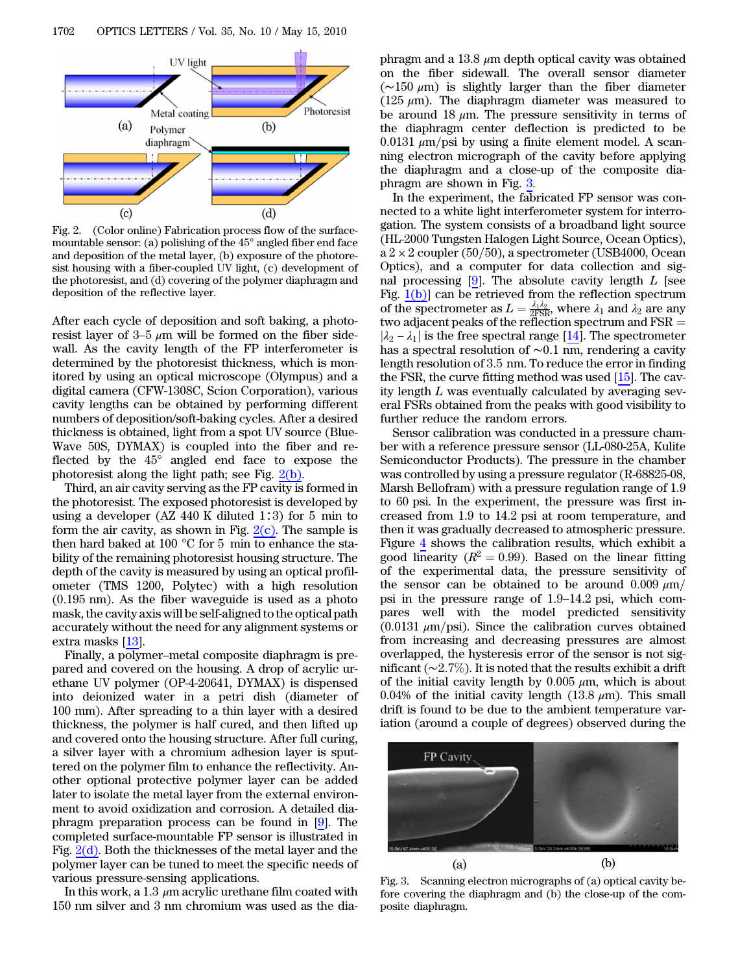<span id="page-1-0"></span>

<span id="page-1-1"></span>Fig. 2. (Color online) Fabrication process flow of the surfacemountable sensor: (a) polishing of the 45° angled fiber end face and deposition of the metal layer, (b) exposure of the photoresist housing with a fiber-coupled UV light, (c) development of the photoresist, and (d) covering of the polymer diaphragm and deposition of the reflective layer.

After each cycle of deposition and soft baking, a photoresist layer of 3–5  $\mu$ m will be formed on the fiber sidewall. As the cavity length of the FP interferometer is determined by the photoresist thickness, which is monitored by using an optical microscope (Olympus) and a digital camera (CFW-1308C, Scion Corporation), various cavity lengths can be obtained by performing different numbers of deposition/soft-baking cycles. After a desired thickness is obtained, light from a spot UV source (Blue-Wave 50S, DYMAX) is coupled into the fiber and reflected by the 45° angled end face to expose the photoresist along the light path; see Fig. [2\(b\).](#page-1-1)

Third, an air cavity serving as the FP cavity is formed in the photoresist. The exposed photoresist is developed by using a developer (AZ 440 K diluted 1∶3) for 5 min to form the air cavity, as shown in Fig.  $2(c)$ . The sample is then hard baked at 100 °C for 5 min to enhance the stability of the remaining photoresist housing structure. The depth of the cavity is measured by using an optical profilometer (TMS 1200, Polytec) with a high resolution  $(0.195 \text{ nm})$ . As the fiber waveguide is used as a photo mask, the cavity axis will be self-aligned to the optical path accurately without the need for any alignment systems or extra masks [\[13](#page-2-10)].

Finally, a polymer–metal composite diaphragm is prepared and covered on the housing. A drop of acrylic urethane UV polymer (OP-4-20641, DYMAX) is dispensed into deionized water in a petri dish (diameter of 100 mm). After spreading to a thin layer with a desired thickness, the polymer is half cured, and then lifted up and covered onto the housing structure. After full curing, a silver layer with a chromium adhesion layer is sputtered on the polymer film to enhance the reflectivity. Another optional protective polymer layer can be added later to isolate the metal layer from the external environment to avoid oxidization and corrosion. A detailed diaphragm preparation process can be found in [[9\]](#page-2-2). The completed surface-mountable FP sensor is illustrated in Fig. [2\(d\)](#page-1-1). Both the thicknesses of the metal layer and the polymer layer can be tuned to meet the specific needs of various pressure-sensing applications.

In this work, a 1.3  $\mu$ m acrylic urethane film coated with 150 nm silver and 3 nm chromium was used as the diaphragm and a 13.8  $\mu$ m depth optical cavity was obtained on the fiber sidewall. The overall sensor diameter (∼150 μm) is slightly larger than the fiber diameter (125  $\mu$ m). The diaphragm diameter was measured to be around 18  $\mu$ m. The pressure sensitivity in terms of the diaphragm center deflection is predicted to be 0.0131  $\mu$ m/psi by using a finite element model. A scanning electron micrograph of the cavity before applying the diaphragm and a close-up of the composite diaphragm are shown in Fig. [3.](#page-1-2)

In the experiment, the fabricated FP sensor was connected to a white light interferometer system for interrogation. The system consists of a broadband light source (HL-2000 Tungsten Halogen Light Source, Ocean Optics),  $a 2 \times 2$  coupler (50/50), a spectrometer (USB4000, Ocean Optics), and a computer for data collection and signal processing  $[9]$  $[9]$ . The absolute cavity length L [see Fig.  $1(b)$  can be retrieved from the reflection spectrum of the spectrometer as  $L = \frac{\lambda_1 \lambda_2}{2 \text{FSR}}$ , where  $\lambda_1$  and  $\lambda_2$  are any two adjacent peaks of the reflection spectrum and  $\mathrm{FSR} =$  $|\lambda_2 - \lambda_1|$  is the free spectral range [\[14](#page-2-11)]. The spectrometer has a spectral resolution of ∼0:1 nm, rendering a cavity length resolution of 3:5 nm. To reduce the error in finding the FSR, the curve fitting method was used [\[15](#page-2-12)]. The cavity length L was eventually calculated by averaging several FSRs obtained from the peaks with good visibility to further reduce the random errors.

Sensor calibration was conducted in a pressure chamber with a reference pressure sensor (LL-080-25A, Kulite Semiconductor Products). The pressure in the chamber was controlled by using a pressure regulator (R-68825-08, Marsh Bellofram) with a pressure regulation range of 1.9 to 60 psi. In the experiment, the pressure was first increased from 1.9 to 14:2 psi at room temperature, and then it was gradually decreased to atmospheric pressure. Figure [4](#page-2-13) shows the calibration results, which exhibit a good linearity ( $R^2 = 0.99$ ). Based on the linear fitting of the experimental data, the pressure sensitivity of the sensor can be obtained to be around 0.009  $\mu$ m/ psi in the pressure range of <sup>1</sup>:9–14:<sup>2</sup> psi, which compares well with the model predicted sensitivity  $(0.0131 \mu m/psi)$ . Since the calibration curves obtained from increasing and decreasing pressures are almost overlapped, the hysteresis error of the sensor is not significant (∼2:7*%*). It is noted that the results exhibit a drift of the initial cavity length by  $0.005 \mu m$ , which is about 0.04% of the initial cavity length (13.8  $\mu$ m). This small drift is found to be due to the ambient temperature variation (around a couple of degrees) observed during the

<span id="page-1-2"></span>

Fig. 3. Scanning electron micrographs of (a) optical cavity before covering the diaphragm and (b) the close-up of the composite diaphragm.